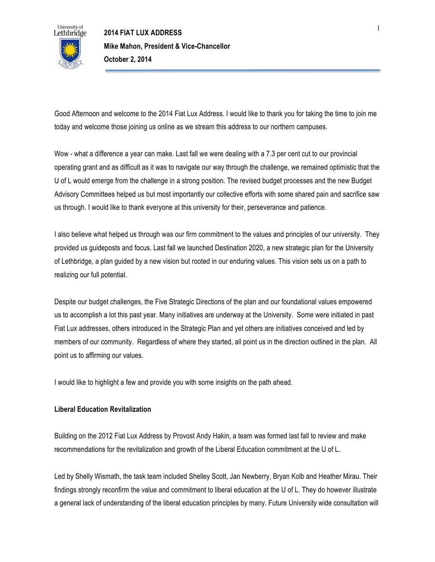

Good Afternoon and welcome to the 2014 Fiat Lux Address. I would like to thank you for taking the time to join me today and welcome those joining us online as we stream this address to our northern campuses.

Wow - what a difference a year can make. Last fall we were dealing with a 7.3 per cent cut to our provincial operating grant and as difficult as it was to navigate our way through the challenge, we remained optimistic that the U of L would emerge from the challenge in a strong position. The revised budget processes and the new Budget Advisory Committees helped us but most importantly our collective efforts with some shared pain and sacrifice saw us through. I would like to thank everyone at this university for their, perseverance and patience.

I also believe what helped us through was our firm commitment to the values and principles of our university. They provided us guideposts and focus. Last fall we launched Destination 2020, a new strategic plan for the University of Lethbridge, a plan guided by a new vision but rooted in our enduring values. This vision sets us on a path to realizing our full potential.

Despite our budget challenges, the Five Strategic Directions of the plan and our foundational values empowered us to accomplish a lot this past year. Many initiatives are underway at the University. Some were initiated in past Fiat Lux addresses, others introduced in the Strategic Plan and yet others are initiatives conceived and led by members of our community. Regardless of where they started, all point us in the direction outlined in the plan. All point us to affirming our values.

I would like to highlight a few and provide you with some insights on the path ahead.

## **Liberal Education Revitalization**

Building on the 2012 Fiat Lux Address by Provost Andy Hakin, a team was formed last fall to review and make recommendations for the revitalization and growth of the Liberal Education commitment at the U of L.

Led by Shelly Wismath, the task team included Shelley Scott, Jan Newberry, Bryan Kolb and Heather Mirau. Their findings strongly reconfirm the value and commitment to liberal education at the U of L. They do however illustrate a general lack of understanding of the liberal education principles by many. Future University wide consultation will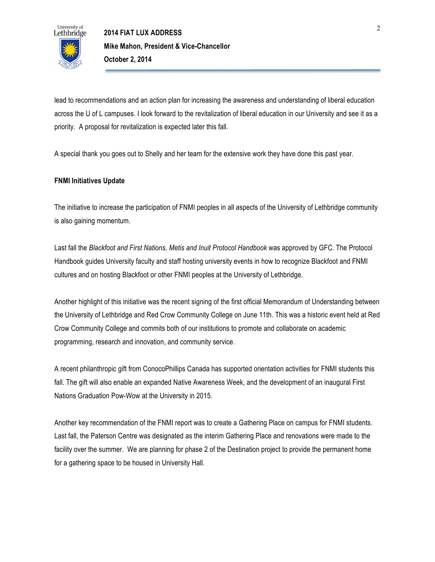

lead to recommendations and an action plan for increasing the awareness and understanding of liberal education across the U of L campuses. I look forward to the revitalization of liberal education in our University and see it as a priority. A proposal for revitalization is expected later this fall.

A special thank you goes out to Shelly and her team for the extensive work they have done this past year.

## **FNMI Initiatives Update**

The initiative to increase the participation of FNMI peoples in all aspects of the University of Lethbridge community is also gaining momentum.

Last fall the *Blackfoot and First Nations, Metis and Inuit Protocol Handbook* was approved by GFC. The Protocol Handbook guides University faculty and staff hosting university events in how to recognize Blackfoot and FNMI cultures and on hosting Blackfoot or other FNMI peoples at the University of Lethbridge.

Another highlight of this initiative was the recent signing of the first official Memorandum of Understanding between the University of Lethbridge and Red Crow Community College on June 11th. This was a historic event held at Red Crow Community College and commits both of our institutions to promote and collaborate on academic programming, research and innovation, and community service.

A recent philanthropic gift from ConocoPhillips Canada has supported orientation activities for FNMI students this fall. The gift will also enable an expanded Native Awareness Week, and the development of an inaugural First Nations Graduation Pow-Wow at the University in 2015.

Another key recommendation of the FNMI report was to create a Gathering Place on campus for FNMI students. Last fall, the Paterson Centre was designated as the interim Gathering Place and renovations were made to the facility over the summer. We are planning for phase 2 of the Destination project to provide the permanent home for a gathering space to be housed in University Hall.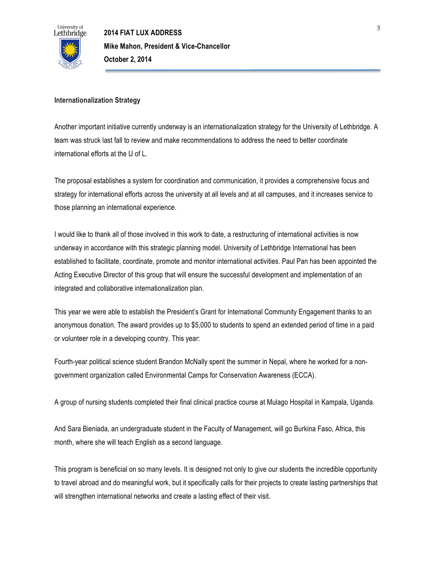

# **Internationalization Strategy**

Another important initiative currently underway is an internationalization strategy for the University of Lethbridge. A team was struck last fall to review and make recommendations to address the need to better coordinate international efforts at the U of L.

The proposal establishes a system for coordination and communication, it provides a comprehensive focus and strategy for international efforts across the university at all levels and at all campuses, and it increases service to those planning an international experience.

I would like to thank all of those involved in this work to date, a restructuring of international activities is now underway in accordance with this strategic planning model. University of Lethbridge International has been established to facilitate, coordinate, promote and monitor international activities. Paul Pan has been appointed the Acting Executive Director of this group that will ensure the successful development and implementation of an integrated and collaborative internationalization plan.

This year we were able to establish the President's Grant for International Community Engagement thanks to an anonymous donation. The award provides up to \$5,000 to students to spend an extended period of time in a paid or volunteer role in a developing country. This year:

Fourth-year political science student Brandon McNally spent the summer in Nepal, where he worked for a nongovernment organization called Environmental Camps for Conservation Awareness (ECCA).

A group of nursing students completed their final clinical practice course at Mulago Hospital in Kampala, Uganda.

And Sara Bieniada, an undergraduate student in the Faculty of Management, will go Burkina Faso, Africa, this month, where she will teach English as a second language.

This program is beneficial on so many levels. It is designed not only to give our students the incredible opportunity to travel abroad and do meaningful work, but it specifically calls for their projects to create lasting partnerships that will strengthen international networks and create a lasting effect of their visit.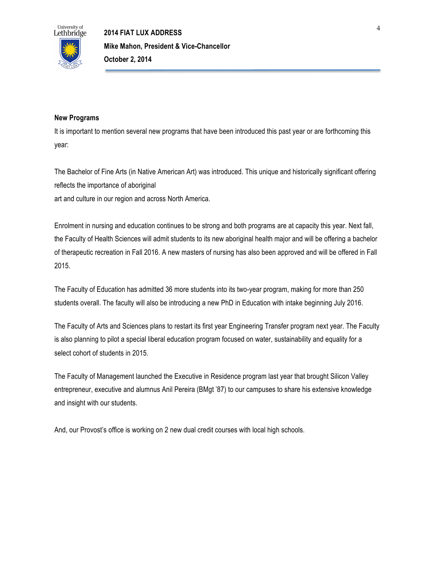

## **New Programs**

It is important to mention several new programs that have been introduced this past year or are forthcoming this year:

The Bachelor of Fine Arts (in Native American Art) was introduced. This unique and historically significant offering reflects the importance of aboriginal art and culture in our region and across North America.

Enrolment in nursing and education continues to be strong and both programs are at capacity this year. Next fall, the Faculty of Health Sciences will admit students to its new aboriginal health major and will be offering a bachelor of therapeutic recreation in Fall 2016. A new masters of nursing has also been approved and will be offered in Fall 2015.

The Faculty of Education has admitted 36 more students into its two-year program, making for more than 250 students overall. The faculty will also be introducing a new PhD in Education with intake beginning July 2016.

The Faculty of Arts and Sciences plans to restart its first year Engineering Transfer program next year. The Faculty is also planning to pilot a special liberal education program focused on water, sustainability and equality for a select cohort of students in 2015.

The Faculty of Management launched the Executive in Residence program last year that brought Silicon Valley entrepreneur, executive and alumnus Anil Pereira (BMgt '87) to our campuses to share his extensive knowledge and insight with our students.

And, our Provost's office is working on 2 new dual credit courses with local high schools.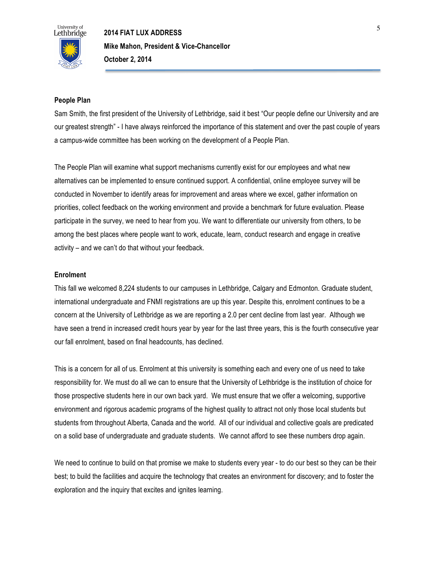

### **People Plan**

Sam Smith, the first president of the University of Lethbridge, said it best "Our people define our University and are our greatest strength" - I have always reinforced the importance of this statement and over the past couple of years a campus-wide committee has been working on the development of a People Plan.

The People Plan will examine what support mechanisms currently exist for our employees and what new alternatives can be implemented to ensure continued support. A confidential, online employee survey will be conducted in November to identify areas for improvement and areas where we excel, gather information on priorities, collect feedback on the working environment and provide a benchmark for future evaluation. Please participate in the survey, we need to hear from you. We want to differentiate our university from others, to be among the best places where people want to work, educate, learn, conduct research and engage in creative activity – and we can't do that without your feedback.

### **Enrolment**

This fall we welcomed 8,224 students to our campuses in Lethbridge, Calgary and Edmonton. Graduate student, international undergraduate and FNMI registrations are up this year. Despite this, enrolment continues to be a concern at the University of Lethbridge as we are reporting a 2.0 per cent decline from last year. Although we have seen a trend in increased credit hours year by year for the last three years, this is the fourth consecutive year our fall enrolment, based on final headcounts, has declined.

This is a concern for all of us. Enrolment at this university is something each and every one of us need to take responsibility for. We must do all we can to ensure that the University of Lethbridge is the institution of choice for those prospective students here in our own back yard. We must ensure that we offer a welcoming, supportive environment and rigorous academic programs of the highest quality to attract not only those local students but students from throughout Alberta, Canada and the world. All of our individual and collective goals are predicated on a solid base of undergraduate and graduate students. We cannot afford to see these numbers drop again.

We need to continue to build on that promise we make to students every year - to do our best so they can be their best; to build the facilities and acquire the technology that creates an environment for discovery; and to foster the exploration and the inquiry that excites and ignites learning.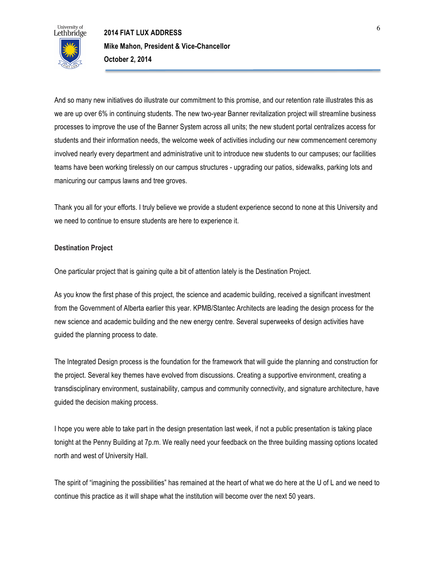

And so many new initiatives do illustrate our commitment to this promise, and our retention rate illustrates this as we are up over 6% in continuing students. The new two-year Banner revitalization project will streamline business processes to improve the use of the Banner System across all units; the new student portal centralizes access for students and their information needs, the welcome week of activities including our new commencement ceremony involved nearly every department and administrative unit to introduce new students to our campuses; our facilities teams have been working tirelessly on our campus structures - upgrading our patios, sidewalks, parking lots and manicuring our campus lawns and tree groves.

Thank you all for your efforts. I truly believe we provide a student experience second to none at this University and we need to continue to ensure students are here to experience it.

### **Destination Project**

One particular project that is gaining quite a bit of attention lately is the Destination Project.

As you know the first phase of this project, the science and academic building, received a significant investment from the Government of Alberta earlier this year. KPMB/Stantec Architects are leading the design process for the new science and academic building and the new energy centre. Several superweeks of design activities have guided the planning process to date.

The Integrated Design process is the foundation for the framework that will guide the planning and construction for the project. Several key themes have evolved from discussions. Creating a supportive environment, creating a transdisciplinary environment, sustainability, campus and community connectivity, and signature architecture, have guided the decision making process.

I hope you were able to take part in the design presentation last week, if not a public presentation is taking place tonight at the Penny Building at 7p.m. We really need your feedback on the three building massing options located north and west of University Hall.

The spirit of "imagining the possibilities" has remained at the heart of what we do here at the U of L and we need to continue this practice as it will shape what the institution will become over the next 50 years.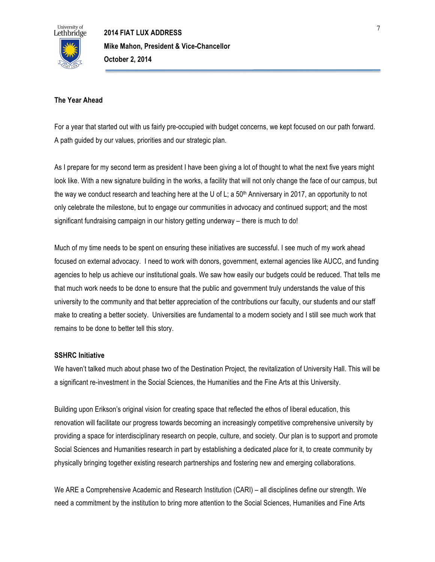

### **The Year Ahead**

For a year that started out with us fairly pre-occupied with budget concerns, we kept focused on our path forward. A path guided by our values, priorities and our strategic plan.

As I prepare for my second term as president I have been giving a lot of thought to what the next five years might look like. With a new signature building in the works, a facility that will not only change the face of our campus, but the way we conduct research and teaching here at the U of L; a  $50<sup>th</sup>$  Anniversary in 2017, an opportunity to not only celebrate the milestone, but to engage our communities in advocacy and continued support; and the most significant fundraising campaign in our history getting underway – there is much to do!

Much of my time needs to be spent on ensuring these initiatives are successful. I see much of my work ahead focused on external advocacy. I need to work with donors, government, external agencies like AUCC, and funding agencies to help us achieve our institutional goals. We saw how easily our budgets could be reduced. That tells me that much work needs to be done to ensure that the public and government truly understands the value of this university to the community and that better appreciation of the contributions our faculty, our students and our staff make to creating a better society. Universities are fundamental to a modern society and I still see much work that remains to be done to better tell this story.

## **SSHRC Initiative**

We haven't talked much about phase two of the Destination Project, the revitalization of University Hall. This will be a significant re-investment in the Social Sciences, the Humanities and the Fine Arts at this University.

Building upon Erikson's original vision for creating space that reflected the ethos of liberal education, this renovation will facilitate our progress towards becoming an increasingly competitive comprehensive university by providing a space for interdisciplinary research on people, culture, and society. Our plan is to support and promote Social Sciences and Humanities research in part by establishing a dedicated *place* for it, to create community by physically bringing together existing research partnerships and fostering new and emerging collaborations.

We ARE a Comprehensive Academic and Research Institution (CARI) – all disciplines define our strength. We need a commitment by the institution to bring more attention to the Social Sciences, Humanities and Fine Arts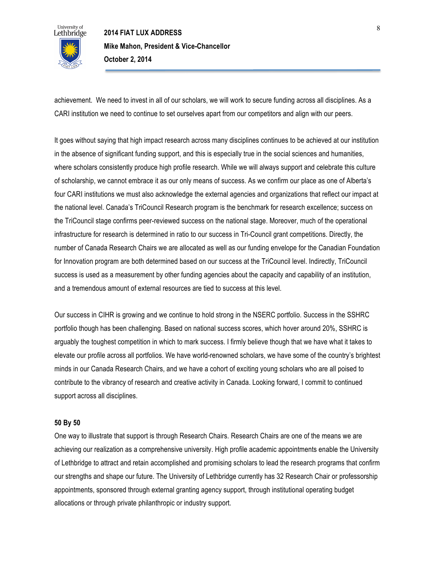

achievement. We need to invest in all of our scholars, we will work to secure funding across all disciplines. As a CARI institution we need to continue to set ourselves apart from our competitors and align with our peers.

It goes without saying that high impact research across many disciplines continues to be achieved at our institution in the absence of significant funding support, and this is especially true in the social sciences and humanities, where scholars consistently produce high profile research. While we will always support and celebrate this culture of scholarship, we cannot embrace it as our only means of success. As we confirm our place as one of Alberta's four CARI institutions we must also acknowledge the external agencies and organizations that reflect our impact at the national level. Canada's TriCouncil Research program is the benchmark for research excellence; success on the TriCouncil stage confirms peer-reviewed success on the national stage. Moreover, much of the operational infrastructure for research is determined in ratio to our success in Tri-Council grant competitions. Directly, the number of Canada Research Chairs we are allocated as well as our funding envelope for the Canadian Foundation for Innovation program are both determined based on our success at the TriCouncil level. Indirectly, TriCouncil success is used as a measurement by other funding agencies about the capacity and capability of an institution, and a tremendous amount of external resources are tied to success at this level.

Our success in CIHR is growing and we continue to hold strong in the NSERC portfolio. Success in the SSHRC portfolio though has been challenging. Based on national success scores, which hover around 20%, SSHRC is arguably the toughest competition in which to mark success. I firmly believe though that we have what it takes to elevate our profile across all portfolios. We have world-renowned scholars, we have some of the country's brightest minds in our Canada Research Chairs, and we have a cohort of exciting young scholars who are all poised to contribute to the vibrancy of research and creative activity in Canada. Looking forward, I commit to continued support across all disciplines.

#### **50 By 50**

One way to illustrate that support is through Research Chairs. Research Chairs are one of the means we are achieving our realization as a comprehensive university. High profile academic appointments enable the University of Lethbridge to attract and retain accomplished and promising scholars to lead the research programs that confirm our strengths and shape our future. The University of Lethbridge currently has 32 Research Chair or professorship appointments, sponsored through external granting agency support, through institutional operating budget allocations or through private philanthropic or industry support.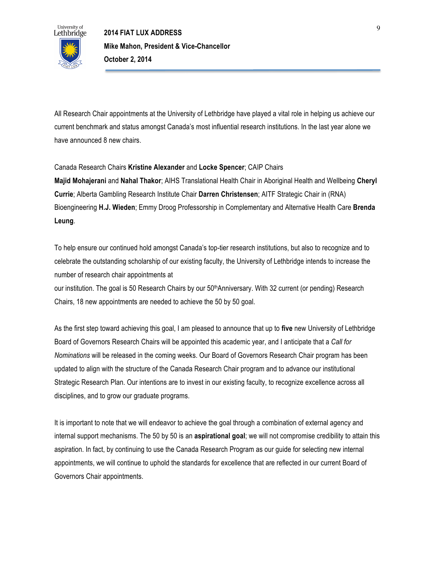

All Research Chair appointments at the University of Lethbridge have played a vital role in helping us achieve our current benchmark and status amongst Canada's most influential research institutions. In the last year alone we have announced 8 new chairs.

### Canada Research Chairs **Kristine Alexander** and **Locke Spencer**; CAIP Chairs

**Majid Mohajerani** and **Nahal Thakor**; AIHS Translational Health Chair in Aboriginal Health and Wellbeing **Cheryl Currie**; Alberta Gambling Research Institute Chair **Darren Christensen**; AITF Strategic Chair in (RNA) Bioengineering **H.J. Wieden**; Emmy Droog Professorship in Complementary and Alternative Health Care **Brenda Leung**.

To help ensure our continued hold amongst Canada's top-tier research institutions, but also to recognize and to celebrate the outstanding scholarship of our existing faculty, the University of Lethbridge intends to increase the number of research chair appointments at

our institution. The goal is 50 Research Chairs by our 50<sup>th</sup>Anniversary. With 32 current (or pending) Research Chairs, 18 new appointments are needed to achieve the 50 by 50 goal.

As the first step toward achieving this goal, I am pleased to announce that up to **five** new University of Lethbridge Board of Governors Research Chairs will be appointed this academic year, and I anticipate that a *Call for Nominations* will be released in the coming weeks. Our Board of Governors Research Chair program has been updated to align with the structure of the Canada Research Chair program and to advance our institutional Strategic Research Plan. Our intentions are to invest in our existing faculty, to recognize excellence across all disciplines, and to grow our graduate programs.

It is important to note that we will endeavor to achieve the goal through a combination of external agency and internal support mechanisms. The 50 by 50 is an **aspirational goal**; we will not compromise credibility to attain this aspiration. In fact, by continuing to use the Canada Research Program as our guide for selecting new internal appointments, we will continue to uphold the standards for excellence that are reflected in our current Board of Governors Chair appointments.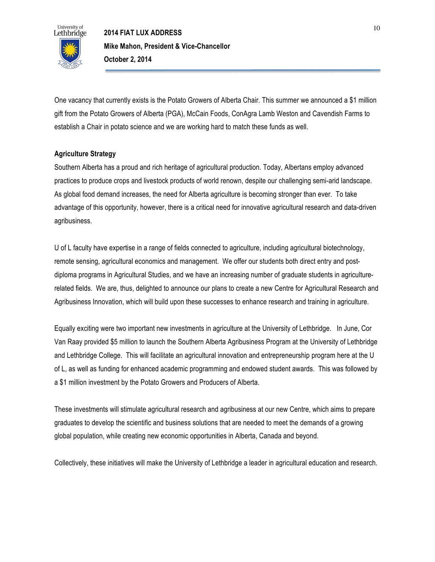

One vacancy that currently exists is the Potato Growers of Alberta Chair. This summer we announced a \$1 million gift from the Potato Growers of Alberta (PGA), McCain Foods, ConAgra Lamb Weston and Cavendish Farms to establish a Chair in potato science and we are working hard to match these funds as well.

### **Agriculture Strategy**

Southern Alberta has a proud and rich heritage of agricultural production. Today, Albertans employ advanced practices to produce crops and livestock products of world renown, despite our challenging semi-arid landscape. As global food demand increases, the need for Alberta agriculture is becoming stronger than ever. To take advantage of this opportunity, however, there is a critical need for innovative agricultural research and data-driven agribusiness.

U of L faculty have expertise in a range of fields connected to agriculture, including agricultural biotechnology, remote sensing, agricultural economics and management. We offer our students both direct entry and postdiploma programs in Agricultural Studies, and we have an increasing number of graduate students in agriculturerelated fields. We are, thus, delighted to announce our plans to create a new Centre for Agricultural Research and Agribusiness Innovation, which will build upon these successes to enhance research and training in agriculture.

Equally exciting were two important new investments in agriculture at the University of Lethbridge. In June, Cor Van Raay provided \$5 million to launch the Southern Alberta Agribusiness Program at the University of Lethbridge and Lethbridge College. This will facilitate an agricultural innovation and entrepreneurship program here at the U of L, as well as funding for enhanced academic programming and endowed student awards. This was followed by a \$1 million investment by the Potato Growers and Producers of Alberta.

These investments will stimulate agricultural research and agribusiness at our new Centre, which aims to prepare graduates to develop the scientific and business solutions that are needed to meet the demands of a growing global population, while creating new economic opportunities in Alberta, Canada and beyond.

Collectively, these initiatives will make the University of Lethbridge a leader in agricultural education and research.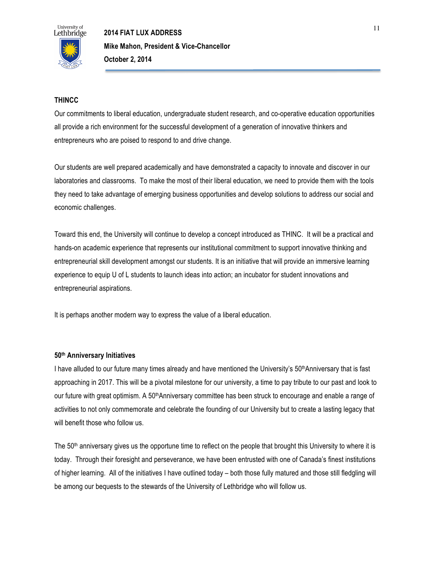

## **THINCC**

Our commitments to liberal education, undergraduate student research, and co-operative education opportunities all provide a rich environment for the successful development of a generation of innovative thinkers and entrepreneurs who are poised to respond to and drive change.

Our students are well prepared academically and have demonstrated a capacity to innovate and discover in our laboratories and classrooms. To make the most of their liberal education, we need to provide them with the tools they need to take advantage of emerging business opportunities and develop solutions to address our social and economic challenges.

Toward this end, the University will continue to develop a concept introduced as THINC. It will be a practical and hands-on academic experience that represents our institutional commitment to support innovative thinking and entrepreneurial skill development amongst our students. It is an initiative that will provide an immersive learning experience to equip U of L students to launch ideas into action; an incubator for student innovations and entrepreneurial aspirations.

It is perhaps another modern way to express the value of a liberal education.

#### **50th Anniversary Initiatives**

I have alluded to our future many times already and have mentioned the University's 50<sup>th</sup>Anniversary that is fast approaching in 2017. This will be a pivotal milestone for our university, a time to pay tribute to our past and look to our future with great optimism. A 50thAnniversary committee has been struck to encourage and enable a range of activities to not only commemorate and celebrate the founding of our University but to create a lasting legacy that will benefit those who follow us.

The  $50<sup>th</sup>$  anniversary gives us the opportune time to reflect on the people that brought this University to where it is today. Through their foresight and perseverance, we have been entrusted with one of Canada's finest institutions of higher learning. All of the initiatives I have outlined today – both those fully matured and those still fledgling will be among our bequests to the stewards of the University of Lethbridge who will follow us.